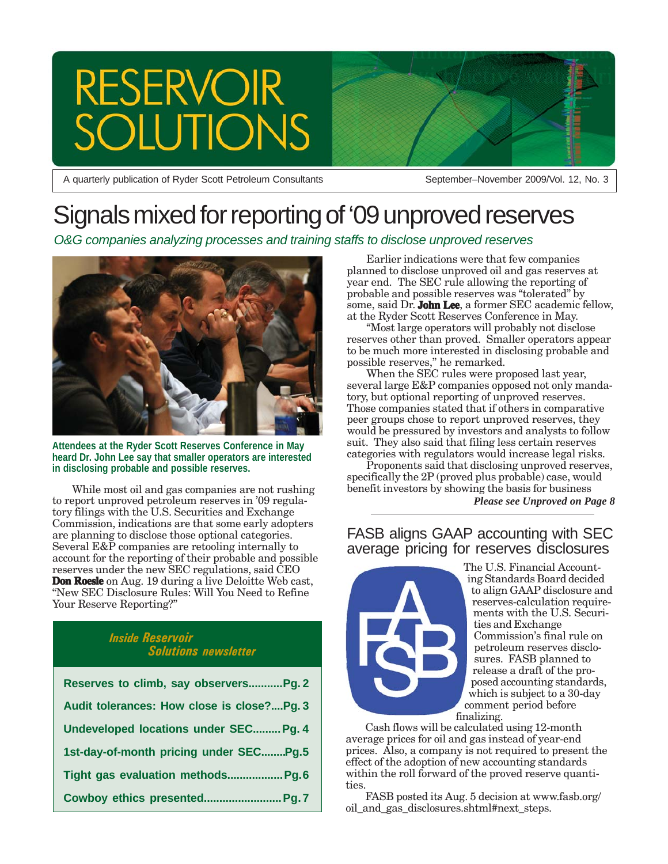# RESERVOIR<br>SOLUTIONS

A quarterly publication of Ryder Scott Petroleum Consultants September–November 2009/Vol. 12, No. 3

## Signals mixed for reporting of '09 unproved reserves

*O&G companies analyzing processes and training staffs to disclose unproved reserves*



**Attendees at the Ryder Scott Reserves Conference in May heard Dr. John Lee say that smaller operators are interested in disclosing probable and possible reserves.**

While most oil and gas companies are not rushing to report unproved petroleum reserves in '09 regulatory filings with the U.S. Securities and Exchange Commission, indications are that some early adopters are planning to disclose those optional categories. Several E&P companies are retooling internally to account for the reporting of their probable and possible reserves under the new SEC regulations, said CEO **Don Roesle** on Aug. 19 during a live Deloitte Web cast, "New SEC Disclosure Rules: Will You Need to Refine Your Reserve Reporting?"

### *Inside Reservoir Solutions newsletter*

| Reserves to climb, say observersPg. 2      |
|--------------------------------------------|
| Audit tolerances: How close is close?Pg. 3 |
| Undeveloped locations under SEC Pg. 4      |
| 1st-day-of-month pricing under SECPg.5     |
| Tight gas evaluation methods Pg.6          |
|                                            |

Earlier indications were that few companies planned to disclose unproved oil and gas reserves at year end. The SEC rule allowing the reporting of probable and possible reserves was "tolerated" by some, said Dr. **John Lee**, a former SEC academic fellow, at the Ryder Scott Reserves Conference in May.

"Most large operators will probably not disclose reserves other than proved. Smaller operators appear to be much more interested in disclosing probable and possible reserves," he remarked.

When the SEC rules were proposed last year, several large E&P companies opposed not only mandatory, but optional reporting of unproved reserves. Those companies stated that if others in comparative peer groups chose to report unproved reserves, they would be pressured by investors and analysts to follow suit. They also said that filing less certain reserves categories with regulators would increase legal risks.

Proponents said that disclosing unproved reserves, specifically the 2P (proved plus probable) case, would benefit investors by showing the basis for business *Please see Unproved on Page 8*

### FASB aligns GAAP accounting with SEC average pricing for reserves disclosures



The U.S. Financial Accounting Standards Board decided to align GAAP disclosure and reserves-calculation requirements with the U.S. Securities and Exchange Commission's final rule on petroleum reserves disclosures. FASB planned to release a draft of the proposed accounting standards, which is subject to a 30-day comment period before finalizing.

Cash flows will be calculated using 12-month average prices for oil and gas instead of year-end prices. Also, a company is not required to present the effect of the adoption of new accounting standards within the roll forward of the proved reserve quantities.

FASB posted its Aug. 5 decision at www.fasb.org/ oil and gas disclosures.shtml#next steps.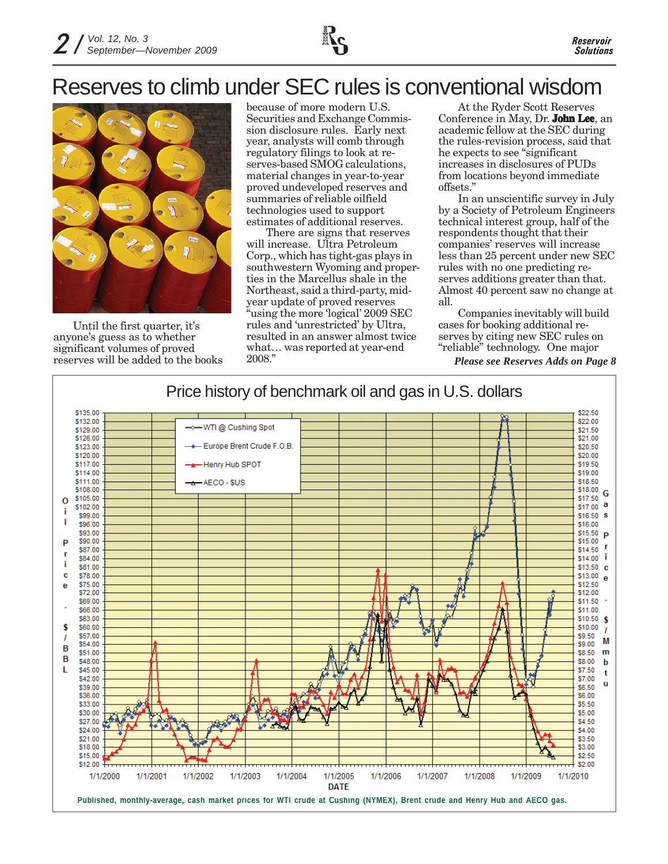### Reserves to climb under SEC rules is conventional wisdom



Until the first quarter, it's anyone's guess as to whether significant volumes of proved reserves will be added to the books

because of more modern U.S. Securities and Exchange Commission disclosure rules. Early next year, analysts will comb through regulatory filings to look at reserves-based SMOG calculations, material changes in year-to-year proved undeveloped reserves and summaries of reliable oilfield technologies used to support estimates of additional reserves.

There are signs that reserves will increase. Ultra Petroleum Corp., which has tight-gas plays in southwestern Wyoming and properties in the Marcellus shale in the Northeast, said a third-party, midyear update of proved reserves "using the more 'logical' 2009 SEC rules and 'unrestricted' by Ultra, resulted in an answer almost twice what… was reported at year-end 2008."

At the Ryder Scott Reserves Conference in May, Dr. **John Lee**, an academic fellow at the SEC during the rules-revision process, said that he expects to see "significant increases in disclosures of PUDs from locations beyond immediate offsets."

In an unscientific survey in July by a Society of Petroleum Engineers technical interest group, half of the respondents thought that their companies' reserves will increase less than 25 percent under new SEC rules with no one predicting reserves additions greater than that. Almost 40 percent saw no change at all.

Companies inevitably will build cases for booking additional reserves by citing new SEC rules on "reliable" technology. One major

*Please see Reserves Adds on Page 8*

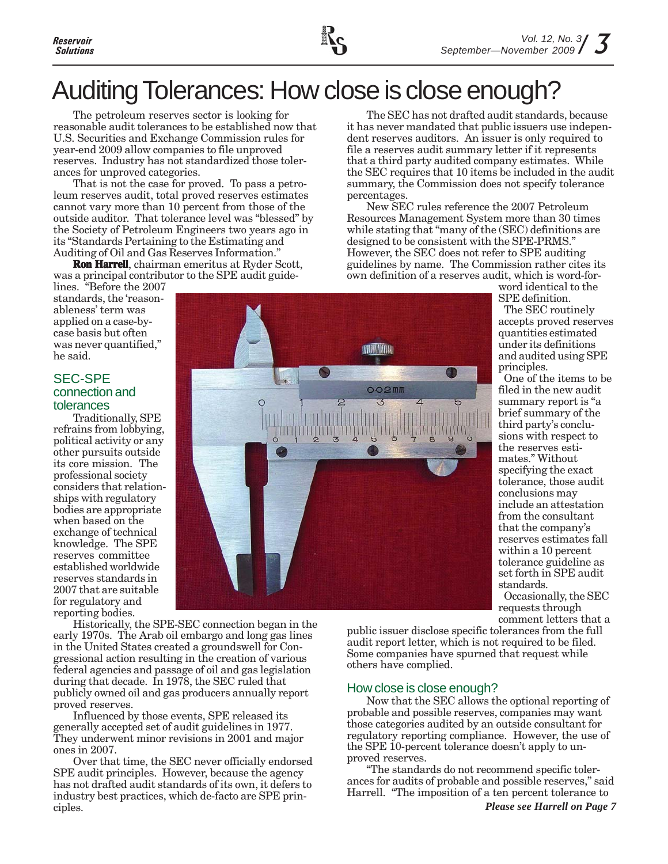# Auditing Tolerances: How close is close enough?

The petroleum reserves sector is looking for reasonable audit tolerances to be established now that U.S. Securities and Exchange Commission rules for year-end 2009 allow companies to file unproved reserves. Industry has not standardized those tolerances for unproved categories.

That is not the case for proved. To pass a petroleum reserves audit, total proved reserves estimates cannot vary more than 10 percent from those of the outside auditor. That tolerance level was "blessed" by the Society of Petroleum Engineers two years ago in its "Standards Pertaining to the Estimating and Auditing of Oil and Gas Reserves Information."

**Ron Harrell**, chairman emeritus at Ryder Scott, was a principal contributor to the SPE audit guide-

lines. "Before the 2007 standards, the 'reasonableness' term was applied on a case-bycase basis but often was never quantified," he said.

#### SEC-SPE connection and tolerances

Traditionally, SPE refrains from lobbying, political activity or any other pursuits outside its core mission. The professional society considers that relationships with regulatory bodies are appropriate when based on the exchange of technical knowledge. The SPE reserves committee established worldwide reserves standards in 2007 that are suitable for regulatory and reporting bodies.

**ANTI ALIA**  $0.02$ mm

Historically, the SPE-SEC connection began in the early 1970s. The Arab oil embargo and long gas lines in the United States created a groundswell for Congressional action resulting in the creation of various federal agencies and passage of oil and gas legislation during that decade. In 1978, the SEC ruled that publicly owned oil and gas producers annually report proved reserves.

Influenced by those events, SPE released its generally accepted set of audit guidelines in 1977. They underwent minor revisions in 2001 and major ones in 2007.

Over that time, the SEC never officially endorsed SPE audit principles. However, because the agency has not drafted audit standards of its own, it defers to industry best practices, which de-facto are SPE principles.

The SEC has not drafted audit standards, because it has never mandated that public issuers use independent reserves auditors. An issuer is only required to file a reserves audit summary letter if it represents that a third party audited company estimates. While the SEC requires that 10 items be included in the audit summary, the Commission does not specify tolerance percentages.

New SEC rules reference the 2007 Petroleum Resources Management System more than 30 times while stating that "many of the (SEC) definitions are designed to be consistent with the SPE-PRMS." However, the SEC does not refer to SPE auditing guidelines by name. The Commission rather cites its own definition of a reserves audit, which is word-for-

word identical to the SPE definition.

The SEC routinely accepts proved reserves quantities estimated under its definitions and audited using SPE principles.

One of the items to be filed in the new audit summary report is "a brief summary of the third party's conclusions with respect to the reserves estimates." Without specifying the exact tolerance, those audit conclusions may include an attestation from the consultant that the company's reserves estimates fall within a 10 percent tolerance guideline as set forth in SPE audit standards. Occasionally, the SEC requests through

comment letters that a

public issuer disclose specific tolerances from the full audit report letter, which is not required to be filed. Some companies have spurned that request while others have complied.

### How close is close enough?

Now that the SEC allows the optional reporting of probable and possible reserves, companies may want those categories audited by an outside consultant for regulatory reporting compliance. However, the use of the SPE 10-percent tolerance doesn't apply to unproved reserves.

"The standards do not recommend specific tolerances for audits of probable and possible reserves," said Harrell. "The imposition of a ten percent tolerance to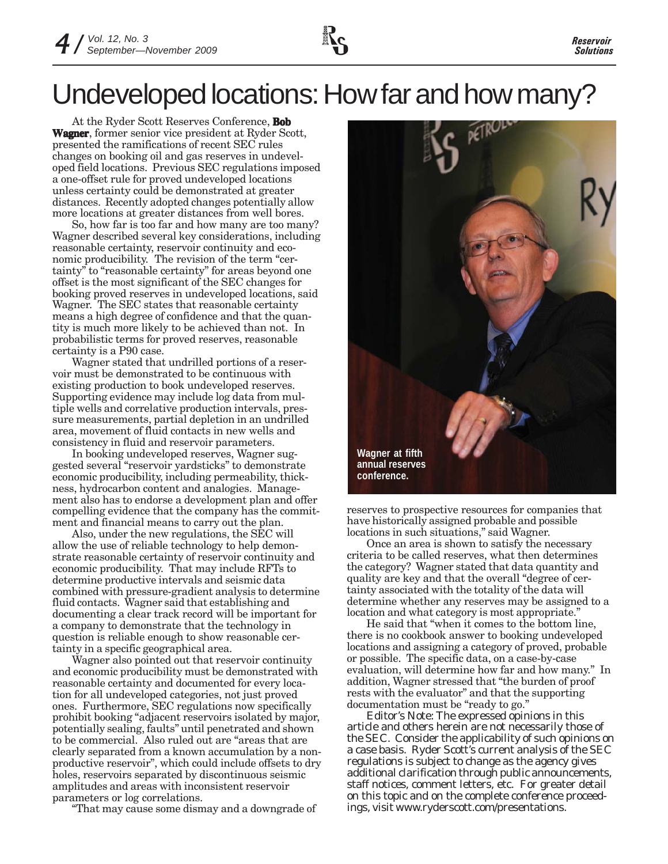

# Undeveloped locations: How far and how many?

At the Ryder Scott Reserves Conference, **Bob Wagner**, former senior vice president at Ryder Scott, presented the ramifications of recent SEC rules changes on booking oil and gas reserves in undeveloped field locations. Previous SEC regulations imposed a one-offset rule for proved undeveloped locations unless certainty could be demonstrated at greater distances. Recently adopted changes potentially allow more locations at greater distances from well bores.

So, how far is too far and how many are too many? Wagner described several key considerations, including reasonable certainty, reservoir continuity and economic producibility. The revision of the term "certainty" to "reasonable certainty" for areas beyond one offset is the most significant of the SEC changes for booking proved reserves in undeveloped locations, said Wagner. The SEC states that reasonable certainty means a high degree of confidence and that the quantity is much more likely to be achieved than not. In probabilistic terms for proved reserves, reasonable certainty is a P90 case.

Wagner stated that undrilled portions of a reservoir must be demonstrated to be continuous with existing production to book undeveloped reserves. Supporting evidence may include log data from multiple wells and correlative production intervals, pressure measurements, partial depletion in an undrilled area, movement of fluid contacts in new wells and consistency in fluid and reservoir parameters.

In booking undeveloped reserves, Wagner suggested several "reservoir yardsticks" to demonstrate economic producibility, including permeability, thickness, hydrocarbon content and analogies. Management also has to endorse a development plan and offer compelling evidence that the company has the commitment and financial means to carry out the plan.

Also, under the new regulations, the SEC will allow the use of reliable technology to help demonstrate reasonable certainty of reservoir continuity and economic producibility. That may include RFTs to determine productive intervals and seismic data combined with pressure-gradient analysis to determine fluid contacts. Wagner said that establishing and documenting a clear track record will be important for a company to demonstrate that the technology in question is reliable enough to show reasonable certainty in a specific geographical area.

Wagner also pointed out that reservoir continuity and economic producibility must be demonstrated with reasonable certainty and documented for every location for all undeveloped categories, not just proved ones. Furthermore, SEC regulations now specifically prohibit booking "adjacent reservoirs isolated by major, potentially sealing, faults" until penetrated and shown to be commercial. Also ruled out are "areas that are clearly separated from a known accumulation by a nonproductive reservoir", which could include offsets to dry holes, reservoirs separated by discontinuous seismic amplitudes and areas with inconsistent reservoir parameters or log correlations.

"That may cause some dismay and a downgrade of



reserves to prospective resources for companies that have historically assigned probable and possible locations in such situations," said Wagner.

Once an area is shown to satisfy the necessary criteria to be called reserves, what then determines the category? Wagner stated that data quantity and quality are key and that the overall "degree of certainty associated with the totality of the data will determine whether any reserves may be assigned to a location and what category is most appropriate."

He said that "when it comes to the bottom line, there is no cookbook answer to booking undeveloped locations and assigning a category of proved, probable or possible. The specific data, on a case-by-case evaluation, will determine how far and how many." In addition, Wagner stressed that "the burden of proof rests with the evaluator" and that the supporting documentation must be "ready to go."

*Editor's Note: The expressed opinions in this article and others herein are not necessarily those of the SEC. Consider the applicability of such opinions on a case basis. Ryder Scott's current analysis of the SEC regulations is subject to change as the agency gives additional clarification through public announcements, staff notices, comment letters, etc. For greater detail on this topic and on the complete conference proceedings, visit www.ryderscott.com/presentations.*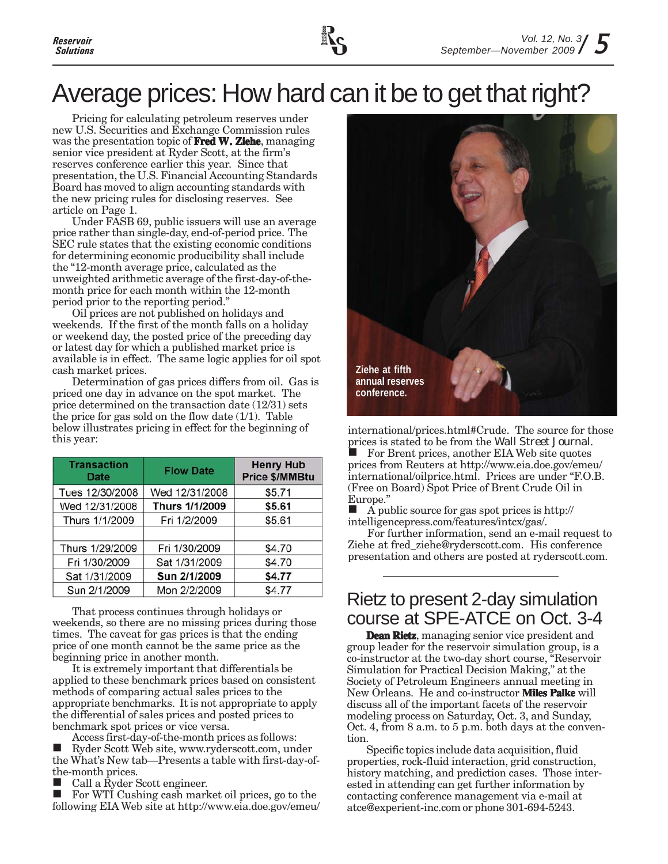

### Average prices: How hard can it be to get that right?

Pricing for calculating petroleum reserves under new U.S. Securities and Exchange Commission rules was the presentation topic of **Fred W. Ziehe**, managing senior vice president at Ryder Scott, at the firm's reserves conference earlier this year. Since that presentation, the U.S. Financial Accounting Standards Board has moved to align accounting standards with the new pricing rules for disclosing reserves. See article on Page 1.

Under FASB 69, public issuers will use an average price rather than single-day, end-of-period price. The SEC rule states that the existing economic conditions for determining economic producibility shall include the "12-month average price, calculated as the unweighted arithmetic average of the first-day-of-themonth price for each month within the 12-month period prior to the reporting period."

Oil prices are not published on holidays and weekends. If the first of the month falls on a holiday or weekend day, the posted price of the preceding day or latest day for which a published market price is available is in effect. The same logic applies for oil spot cash market prices.

Determination of gas prices differs from oil. Gas is priced one day in advance on the spot market. The price determined on the transaction date (12/31) sets the price for gas sold on the flow date  $(1/1)$ . Table below illustrates pricing in effect for the beginning of this year:

| <b>Transaction</b><br><b>Date</b> | <b>Flow Date</b> | <b>Henry Hub</b><br><b>Price \$/MMBtu</b> |
|-----------------------------------|------------------|-------------------------------------------|
| Tues 12/30/2008                   | Wed 12/31/2008   | \$5.71                                    |
| Wed 12/31/2008                    | Thurs 1/1/2009   | \$5.61                                    |
| Thurs 1/1/2009                    | Fri 1/2/2009     | \$5.61                                    |
| Thurs 1/29/2009                   | Fri 1/30/2009    | \$4.70                                    |
| Fri 1/30/2009                     | Sat 1/31/2009    | \$4.70                                    |
| Sat 1/31/2009                     | Sun 2/1/2009     | \$4.77                                    |
| Sun 2/1/2009                      | Mon 2/2/2009     | \$4.77                                    |

That process continues through holidays or weekends, so there are no missing prices during those times. The caveat for gas prices is that the ending price of one month cannot be the same price as the beginning price in another month.

It is extremely important that differentials be applied to these benchmark prices based on consistent methods of comparing actual sales prices to the appropriate benchmarks. It is not appropriate to apply the differential of sales prices and posted prices to benchmark spot prices or vice versa.

Access first-day-of-the-month prices as follows:

 Ryder Scott Web site, www.ryderscott.com, under the What's New tab—Presents a table with first-day-ofthe-month prices.

Call a Ryder Scott engineer.

For WTI Cushing cash market oil prices, go to the following EIA Web site at http://www.eia.doe.gov/emeu/



international/prices.html#Crude. The source for those prices is stated to be from the *Wall Street Journal*. For Brent prices, another EIA Web site quotes prices from Reuters at http://www.eia.doe.gov/emeu/ international/oilprice.html. Prices are under "F.O.B.

(Free on Board) Spot Price of Brent Crude Oil in Europe."

 A public source for gas spot prices is http:// intelligencepress.com/features/intcx/gas/.

For further information, send an e-mail request to Ziehe at fred\_ziehe@ryderscott.com. His conference presentation and others are posted at ryderscott.com.

### Rietz to present 2-day simulation course at SPE-ATCE on Oct. 3-4

**Dean Rietz**, managing senior vice president and group leader for the reservoir simulation group, is a co-instructor at the two-day short course, "Reservoir Simulation for Practical Decision Making," at the Society of Petroleum Engineers annual meeting in New Orleans. He and co-instructor **Miles Palke** will discuss all of the important facets of the reservoir modeling process on Saturday, Oct. 3, and Sunday, Oct. 4, from 8 a.m. to 5 p.m. both days at the convention.

Specific topics include data acquisition, fluid properties, rock-fluid interaction, grid construction, history matching, and prediction cases. Those interested in attending can get further information by contacting conference management via e-mail at atce@experient-inc.com or phone 301-694-5243.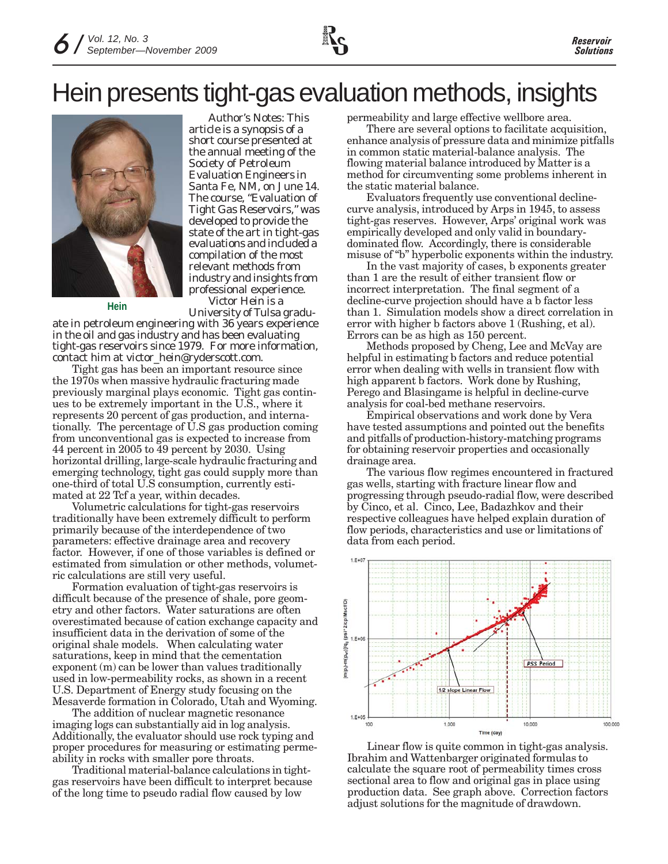### Hein presents tight-gas evaluation methods, insights



*Author's Notes: This article is a synopsis of a short course presented at the annual meeting of the Society of Petroleum Evaluation Engineers in Santa Fe, NM, on June 14. The course, "Evaluation of Tight Gas Reservoirs," was developed to provide the state of the art in tight-gas evaluations and included a compilation of the most relevant methods from industry and insights from professional experience. Victor Hein is a University of Tulsa gradu-* **Hein**

*ate in petroleum engineering with 36 years experience in the oil and gas industry and has been evaluating tight-gas reservoirs since 1979. For more information, contact him at victor\_hein@ryderscott.com.*

Tight gas has been an important resource since the 1970s when massive hydraulic fracturing made previously marginal plays economic. Tight gas continues to be extremely important in the U.S., where it represents 20 percent of gas production, and internationally. The percentage of U.S gas production coming from unconventional gas is expected to increase from 44 percent in 2005 to 49 percent by 2030. Using horizontal drilling, large-scale hydraulic fracturing and emerging technology, tight gas could supply more than one-third of total U.S consumption, currently estimated at 22 Tcf a year, within decades.

Volumetric calculations for tight-gas reservoirs traditionally have been extremely difficult to perform primarily because of the interdependence of two parameters: effective drainage area and recovery factor. However, if one of those variables is defined or estimated from simulation or other methods, volumetric calculations are still very useful.

Formation evaluation of tight-gas reservoirs is difficult because of the presence of shale, pore geometry and other factors. Water saturations are often overestimated because of cation exchange capacity and insufficient data in the derivation of some of the original shale models. When calculating water saturations, keep in mind that the cementation exponent (m) can be lower than values traditionally used in low-permeability rocks, as shown in a recent U.S. Department of Energy study focusing on the Mesaverde formation in Colorado, Utah and Wyoming.

The addition of nuclear magnetic resonance imaging logs can substantially aid in log analysis. Additionally, the evaluator should use rock typing and proper procedures for measuring or estimating permeability in rocks with smaller pore throats.

Traditional material-balance calculations in tightgas reservoirs have been difficult to interpret because of the long time to pseudo radial flow caused by low

permeability and large effective wellbore area.

There are several options to facilitate acquisition, enhance analysis of pressure data and minimize pitfalls in common static material-balance analysis. The flowing material balance introduced by Matter is a method for circumventing some problems inherent in the static material balance.

Evaluators frequently use conventional declinecurve analysis, introduced by Arps in 1945, to assess tight-gas reserves. However, Arps' original work was empirically developed and only valid in boundarydominated flow. Accordingly, there is considerable misuse of "b" hyperbolic exponents within the industry.

In the vast majority of cases, b exponents greater than 1 are the result of either transient flow or incorrect interpretation. The final segment of a decline-curve projection should have a b factor less than 1. Simulation models show a direct correlation in error with higher b factors above 1 (Rushing, et al). Errors can be as high as 150 percent.

Methods proposed by Cheng, Lee and McVay are helpful in estimating b factors and reduce potential error when dealing with wells in transient flow with high apparent b factors. Work done by Rushing, Perego and Blasingame is helpful in decline-curve analysis for coal-bed methane reservoirs.

Empirical observations and work done by Vera have tested assumptions and pointed out the benefits and pitfalls of production-history-matching programs for obtaining reservoir properties and occasionally drainage area.

The various flow regimes encountered in fractured gas wells, starting with fracture linear flow and progressing through pseudo-radial flow, were described by Cinco, et al. Cinco, Lee, Badazhkov and their respective colleagues have helped explain duration of flow periods, characteristics and use or limitations of data from each period.



Linear flow is quite common in tight-gas analysis. Ibrahim and Wattenbarger originated formulas to calculate the square root of permeability times cross sectional area to flow and original gas in place using production data. See graph above. Correction factors adjust solutions for the magnitude of drawdown.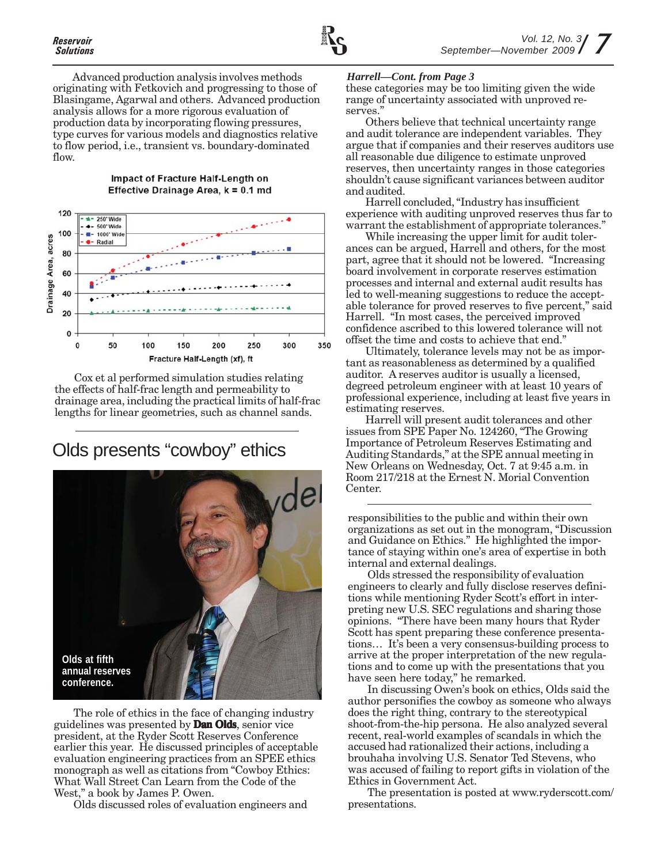Advanced production analysis involves methods originating with Fetkovich and progressing to those of Blasingame, Agarwal and others. Advanced production analysis allows for a more rigorous evaluation of production data by incorporating flowing pressures, type curves for various models and diagnostics relative to flow period, i.e., transient vs. boundary-dominated flow.



Impact of Fracture Half-Length on Effective Drainage Area, k = 0.1 md



### Olds presents "cowboy" ethics



The role of ethics in the face of changing industry guidelines was presented by **Dan Olds**, senior vice president, at the Ryder Scott Reserves Conference earlier this year. He discussed principles of acceptable evaluation engineering practices from an SPEE ethics monograph as well as citations from "Cowboy Ethics: What Wall Street Can Learn from the Code of the West," a book by James P. Owen.

Olds discussed roles of evaluation engineers and

#### *Harrell—Cont. from Page 3*

these categories may be too limiting given the wide range of uncertainty associated with unproved reserves."

Others believe that technical uncertainty range and audit tolerance are independent variables. They argue that if companies and their reserves auditors use all reasonable due diligence to estimate unproved reserves, then uncertainty ranges in those categories shouldn't cause significant variances between auditor and audited.

Harrell concluded, "Industry has insufficient experience with auditing unproved reserves thus far to warrant the establishment of appropriate tolerances."

While increasing the upper limit for audit tolerances can be argued, Harrell and others, for the most part, agree that it should not be lowered. "Increasing board involvement in corporate reserves estimation processes and internal and external audit results has led to well-meaning suggestions to reduce the acceptable tolerance for proved reserves to five percent," said Harrell. "In most cases, the perceived improved confidence ascribed to this lowered tolerance will not offset the time and costs to achieve that end."

Ultimately, tolerance levels may not be as important as reasonableness as determined by a qualified auditor. A reserves auditor is usually a licensed, degreed petroleum engineer with at least 10 years of professional experience, including at least five years in estimating reserves.

Harrell will present audit tolerances and other issues from SPE Paper No. 124260, "The Growing Importance of Petroleum Reserves Estimating and Auditing Standards," at the SPE annual meeting in New Orleans on Wednesday, Oct. 7 at 9:45 a.m. in Room 217/218 at the Ernest N. Morial Convention Center.

responsibilities to the public and within their own organizations as set out in the monogram, "Discussion and Guidance on Ethics." He highlighted the importance of staying within one's area of expertise in both internal and external dealings.

Olds stressed the responsibility of evaluation engineers to clearly and fully disclose reserves definitions while mentioning Ryder Scott's effort in interpreting new U.S. SEC regulations and sharing those opinions. "There have been many hours that Ryder Scott has spent preparing these conference presentations… It's been a very consensus-building process to arrive at the proper interpretation of the new regulations and to come up with the presentations that you have seen here today," he remarked.

In discussing Owen's book on ethics, Olds said the author personifies the cowboy as someone who always does the right thing, contrary to the stereotypical shoot-from-the-hip persona. He also analyzed several recent, real-world examples of scandals in which the accused had rationalized their actions, including a brouhaha involving U.S. Senator Ted Stevens, who was accused of failing to report gifts in violation of the Ethics in Government Act.

The presentation is posted at www.ryderscott.com/ presentations.